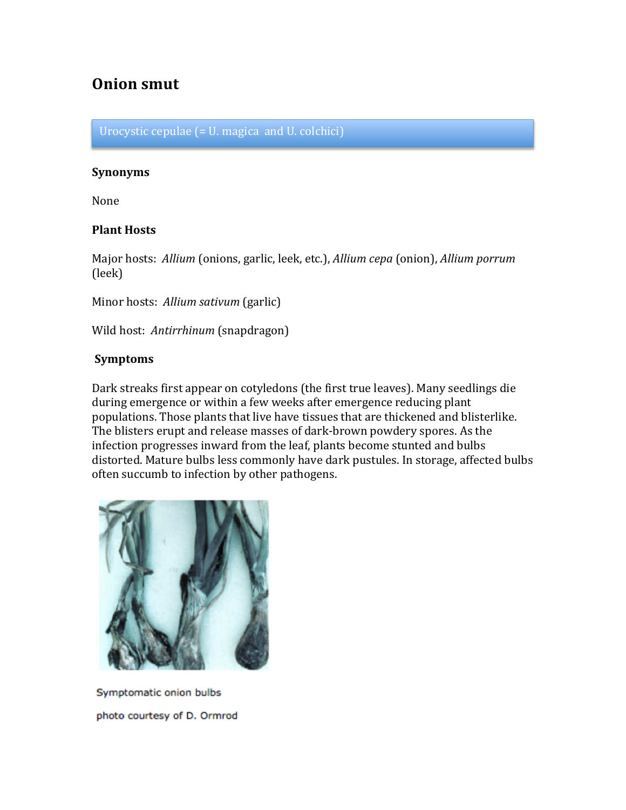# **Onion smut**

Urocystic cepulae  $($  =  $U$ . magica and  $U$ . colchici)

#### **Synonyms**

None

### **Plant Hosts**

Major hosts: Allium (onions, garlic, leek, etc.), *Allium cepa* (onion), *Allium porrum* (leek)

Minor hosts: Allium sativum (garlic)

Wild host: Antirrhinum (snapdragon)

#### **Symptoms**

Dark streaks first appear on cotyledons (the first true leaves). Many seedlings die during emergence or within a few weeks after emergence reducing plant populations. Those plants that live have tissues that are thickened and blisterlike. The blisters erupt and release masses of dark-brown powdery spores. As the infection progresses inward from the leaf, plants become stunted and bulbs distorted. Mature bulbs less commonly have dark pustules. In storage, affected bulbs often succumb to infection by other pathogens.



Symptomatic onion bulbs photo courtesy of D. Ormrod